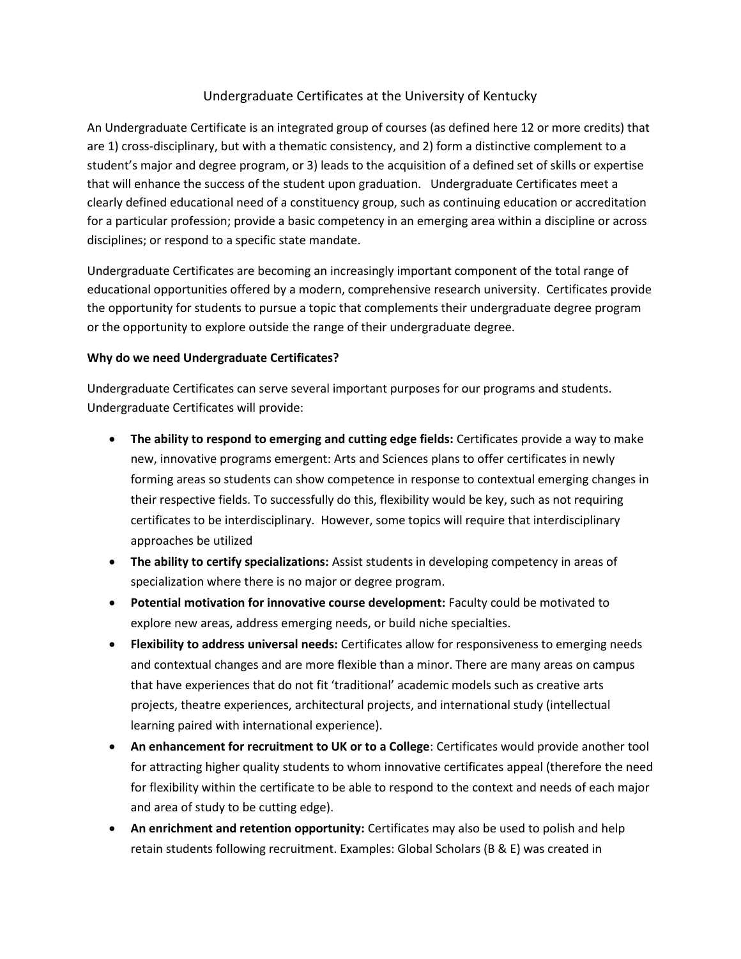## Undergraduate Certificates at the University of Kentucky

An Undergraduate Certificate is an integrated group of courses (as defined here 12 or more credits) that are 1) cross-disciplinary, but with a thematic consistency, and 2) form a distinctive complement to a student's major and degree program, or 3) leads to the acquisition of a defined set of skills or expertise that will enhance the success of the student upon graduation. Undergraduate Certificates meet a clearly defined educational need of a constituency group, such as continuing education or accreditation for a particular profession; provide a basic competency in an emerging area within a discipline or across disciplines; or respond to a specific state mandate.

Undergraduate Certificates are becoming an increasingly important component of the total range of educational opportunities offered by a modern, comprehensive research university. Certificates provide the opportunity for students to pursue a topic that complements their undergraduate degree program or the opportunity to explore outside the range of their undergraduate degree.

## **Why do we need Undergraduate Certificates?**

Undergraduate Certificates can serve several important purposes for our programs and students. Undergraduate Certificates will provide:

- **The ability to respond to emerging and cutting edge fields:** Certificates provide a way to make new, innovative programs emergent: Arts and Sciences plans to offer certificates in newly forming areas so students can show competence in response to contextual emerging changes in their respective fields. To successfully do this, flexibility would be key, such as not requiring certificates to be interdisciplinary. However, some topics will require that interdisciplinary approaches be utilized
- **The ability to certify specializations:** Assist students in developing competency in areas of specialization where there is no major or degree program.
- **Potential motivation for innovative course development:** Faculty could be motivated to explore new areas, address emerging needs, or build niche specialties.
- **Flexibility to address universal needs:** Certificates allow for responsiveness to emerging needs and contextual changes and are more flexible than a minor. There are many areas on campus that have experiences that do not fit 'traditional' academic models such as creative arts projects, theatre experiences, architectural projects, and international study (intellectual learning paired with international experience).
- **An enhancement for recruitment to UK or to a College**: Certificates would provide another tool for attracting higher quality students to whom innovative certificates appeal (therefore the need for flexibility within the certificate to be able to respond to the context and needs of each major and area of study to be cutting edge).
- **An enrichment and retention opportunity:** Certificates may also be used to polish and help retain students following recruitment. Examples: Global Scholars (B & E) was created in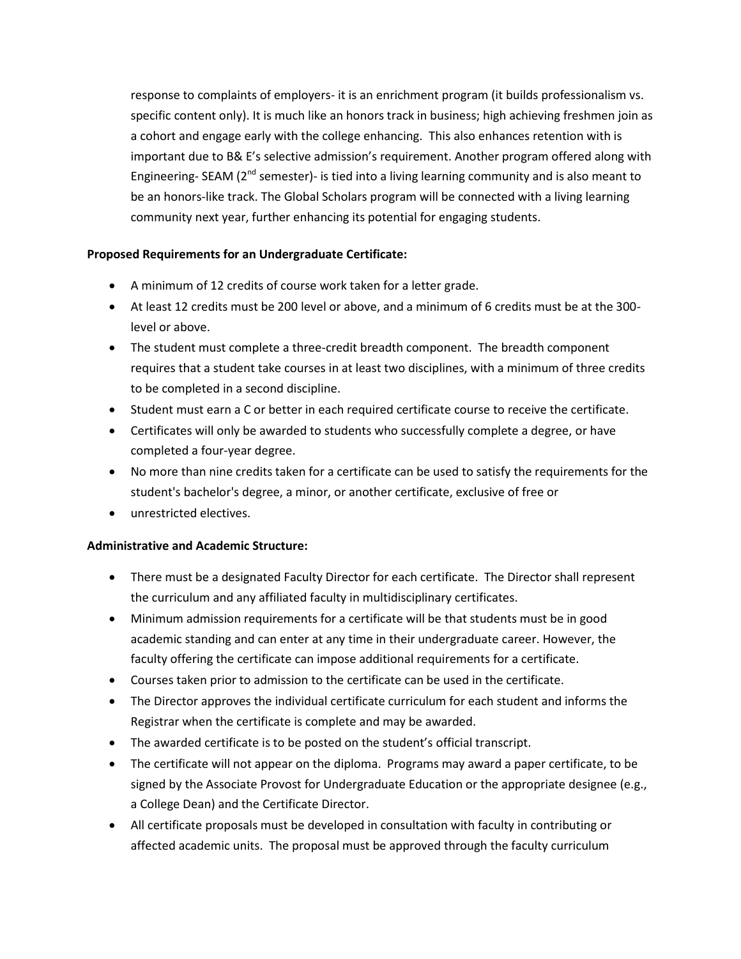response to complaints of employers- it is an enrichment program (it builds professionalism vs. specific content only). It is much like an honors track in business; high achieving freshmen join as a cohort and engage early with the college enhancing. This also enhances retention with is important due to B& E's selective admission's requirement. Another program offered along with Engineering- SEAM ( $2^{nd}$  semester)- is tied into a living learning community and is also meant to be an honors-like track. The Global Scholars program will be connected with a living learning community next year, further enhancing its potential for engaging students.

## **Proposed Requirements for an Undergraduate Certificate:**

- A minimum of 12 credits of course work taken for a letter grade.
- At least 12 credits must be 200 level or above, and a minimum of 6 credits must be at the 300 level or above.
- The student must complete a three-credit breadth component. The breadth component requires that a student take courses in at least two disciplines, with a minimum of three credits to be completed in a second discipline.
- Student must earn a C or better in each required certificate course to receive the certificate.
- Certificates will only be awarded to students who successfully complete a degree, or have completed a four-year degree.
- No more than nine credits taken for a certificate can be used to satisfy the requirements for the student's bachelor's degree, a minor, or another certificate, exclusive of free or
- unrestricted electives.

## **Administrative and Academic Structure:**

- There must be a designated Faculty Director for each certificate. The Director shall represent the curriculum and any affiliated faculty in multidisciplinary certificates.
- Minimum admission requirements for a certificate will be that students must be in good academic standing and can enter at any time in their undergraduate career. However, the faculty offering the certificate can impose additional requirements for a certificate.
- Courses taken prior to admission to the certificate can be used in the certificate.
- The Director approves the individual certificate curriculum for each student and informs the Registrar when the certificate is complete and may be awarded.
- The awarded certificate is to be posted on the student's official transcript.
- The certificate will not appear on the diploma. Programs may award a paper certificate, to be signed by the Associate Provost for Undergraduate Education or the appropriate designee (e.g., a College Dean) and the Certificate Director.
- All certificate proposals must be developed in consultation with faculty in contributing or affected academic units. The proposal must be approved through the faculty curriculum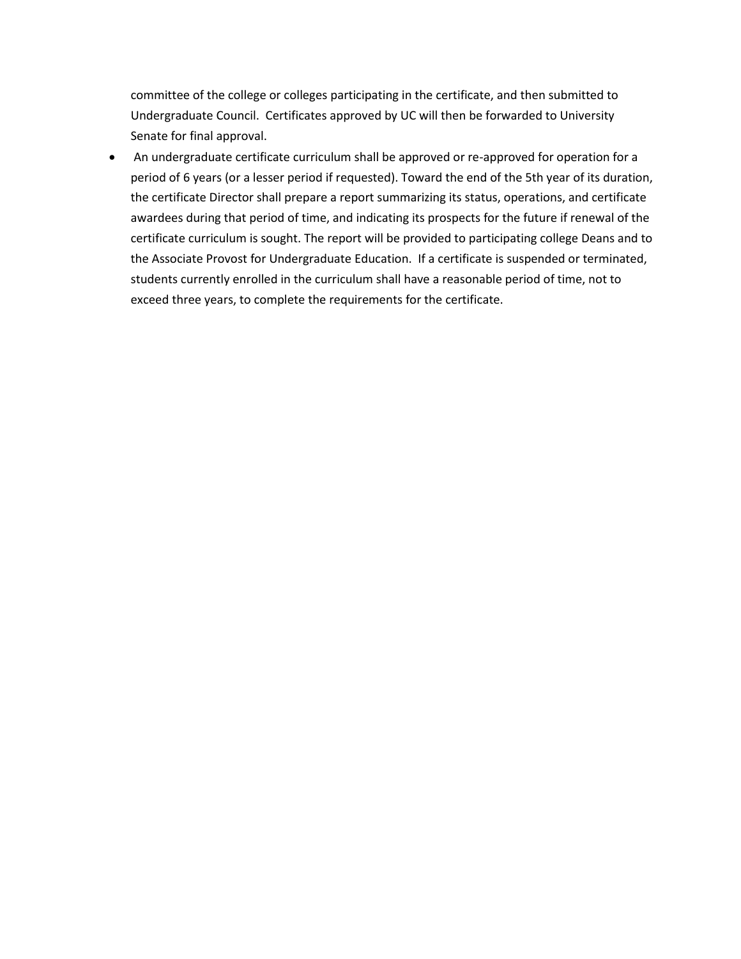committee of the college or colleges participating in the certificate, and then submitted to Undergraduate Council. Certificates approved by UC will then be forwarded to University Senate for final approval.

 An undergraduate certificate curriculum shall be approved or re-approved for operation for a period of 6 years (or a lesser period if requested). Toward the end of the 5th year of its duration, the certificate Director shall prepare a report summarizing its status, operations, and certificate awardees during that period of time, and indicating its prospects for the future if renewal of the certificate curriculum is sought. The report will be provided to participating college Deans and to the Associate Provost for Undergraduate Education. If a certificate is suspended or terminated, students currently enrolled in the curriculum shall have a reasonable period of time, not to exceed three years, to complete the requirements for the certificate.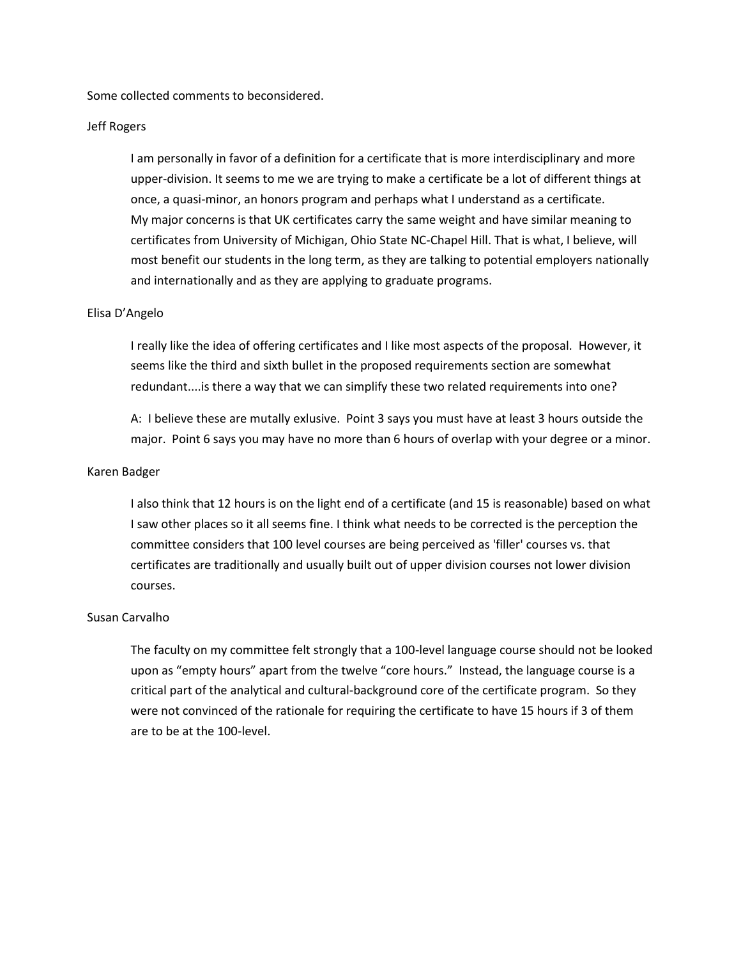Some collected comments to beconsidered.

#### Jeff Rogers

I am personally in favor of a definition for a certificate that is more interdisciplinary and more upper-division. It seems to me we are trying to make a certificate be a lot of different things at once, a quasi-minor, an honors program and perhaps what I understand as a certificate. My major concerns is that UK certificates carry the same weight and have similar meaning to certificates from University of Michigan, Ohio State NC-Chapel Hill. That is what, I believe, will most benefit our students in the long term, as they are talking to potential employers nationally and internationally and as they are applying to graduate programs.

#### Elisa D'Angelo

I really like the idea of offering certificates and I like most aspects of the proposal. However, it seems like the third and sixth bullet in the proposed requirements section are somewhat redundant....is there a way that we can simplify these two related requirements into one?

A: I believe these are mutally exlusive. Point 3 says you must have at least 3 hours outside the major. Point 6 says you may have no more than 6 hours of overlap with your degree or a minor.

#### Karen Badger

I also think that 12 hours is on the light end of a certificate (and 15 is reasonable) based on what I saw other places so it all seems fine. I think what needs to be corrected is the perception the committee considers that 100 level courses are being perceived as 'filler' courses vs. that certificates are traditionally and usually built out of upper division courses not lower division courses.

#### Susan Carvalho

The faculty on my committee felt strongly that a 100-level language course should not be looked upon as "empty hours" apart from the twelve "core hours." Instead, the language course is a critical part of the analytical and cultural-background core of the certificate program. So they were not convinced of the rationale for requiring the certificate to have 15 hours if 3 of them are to be at the 100-level.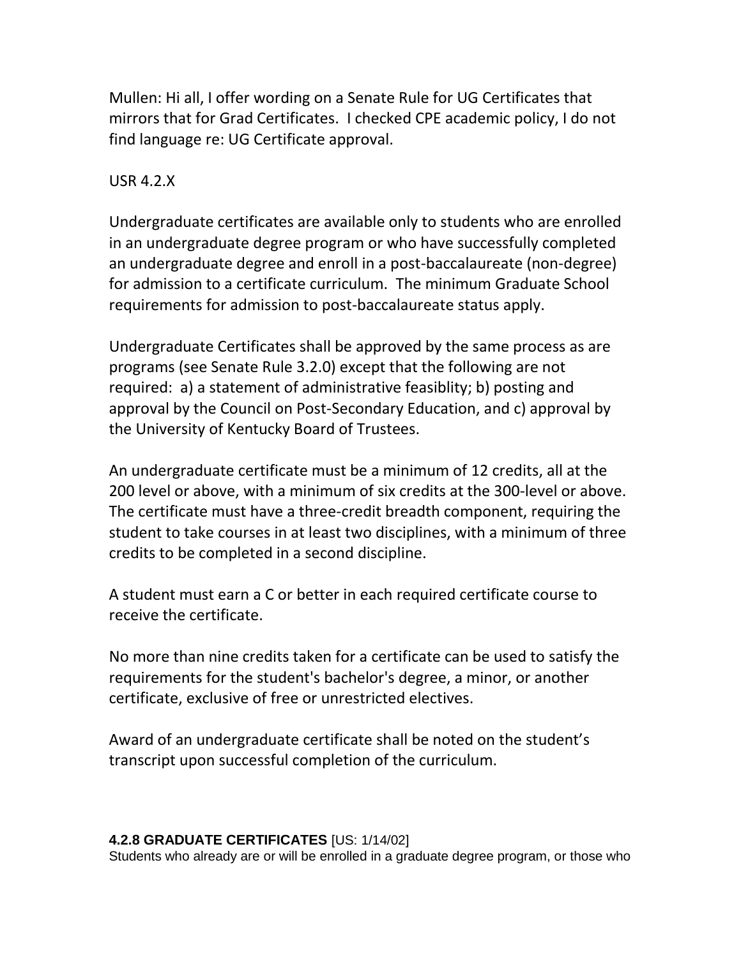Mullen: Hi all, I offer wording on a Senate Rule for UG Certificates that mirrors that for Grad Certificates. I checked CPE academic policy, I do not find language re: UG Certificate approval.

# USR 4.2.X

Undergraduate certificates are available only to students who are enrolled in an undergraduate degree program or who have successfully completed an undergraduate degree and enroll in a post-baccalaureate (non-degree) for admission to a certificate curriculum. The minimum Graduate School requirements for admission to post-baccalaureate status apply.

Undergraduate Certificates shall be approved by the same process as are programs (see Senate Rule 3.2.0) except that the following are not required: a) a statement of administrative feasiblity; b) posting and approval by the Council on Post-Secondary Education, and c) approval by the University of Kentucky Board of Trustees.

An undergraduate certificate must be a minimum of 12 credits, all at the 200 level or above, with a minimum of six credits at the 300-level or above. The certificate must have a three-credit breadth component, requiring the student to take courses in at least two disciplines, with a minimum of three credits to be completed in a second discipline.

A student must earn a C or better in each required certificate course to receive the certificate.

No more than nine credits taken for a certificate can be used to satisfy the requirements for the student's bachelor's degree, a minor, or another certificate, exclusive of free or unrestricted electives.

Award of an undergraduate certificate shall be noted on the student's transcript upon successful completion of the curriculum.

## **4.2.8 GRADUATE CERTIFICATES** [US: 1/14/02]

Students who already are or will be enrolled in a graduate degree program, or those who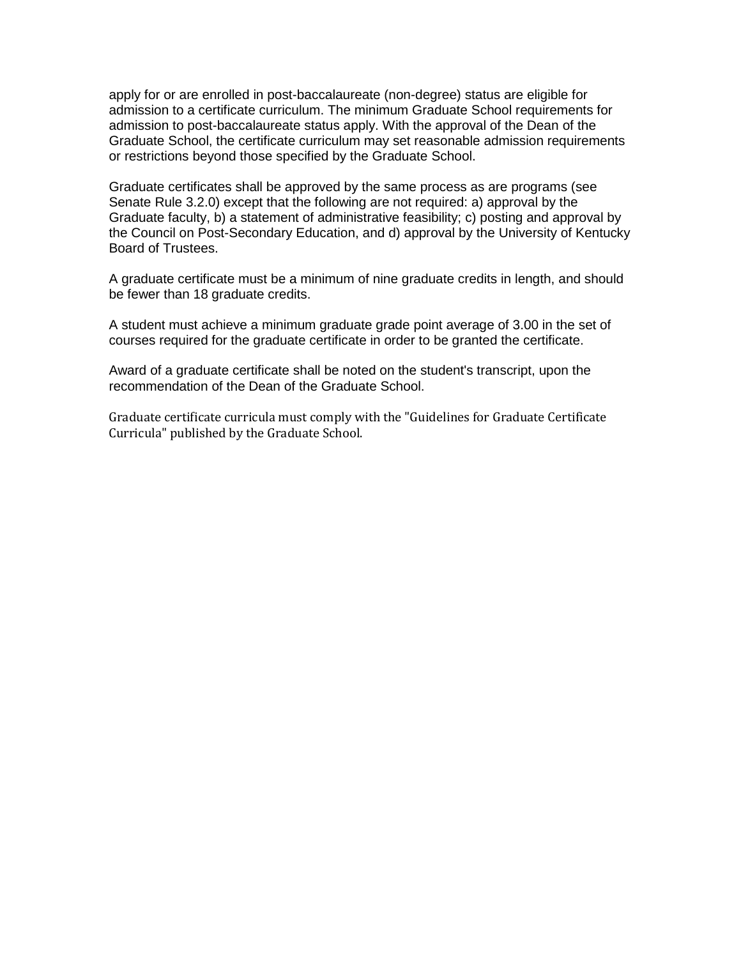apply for or are enrolled in post-baccalaureate (non-degree) status are eligible for admission to a certificate curriculum. The minimum Graduate School requirements for admission to post-baccalaureate status apply. With the approval of the Dean of the Graduate School, the certificate curriculum may set reasonable admission requirements or restrictions beyond those specified by the Graduate School.

Graduate certificates shall be approved by the same process as are programs (see Senate Rule 3.2.0) except that the following are not required: a) approval by the Graduate faculty, b) a statement of administrative feasibility; c) posting and approval by the Council on Post-Secondary Education, and d) approval by the University of Kentucky Board of Trustees.

A graduate certificate must be a minimum of nine graduate credits in length, and should be fewer than 18 graduate credits.

A student must achieve a minimum graduate grade point average of 3.00 in the set of courses required for the graduate certificate in order to be granted the certificate.

Award of a graduate certificate shall be noted on the student's transcript, upon the recommendation of the Dean of the Graduate School.

Graduate certificate curricula must comply with the "Guidelines for Graduate Certificate Curricula" published by the Graduate School.